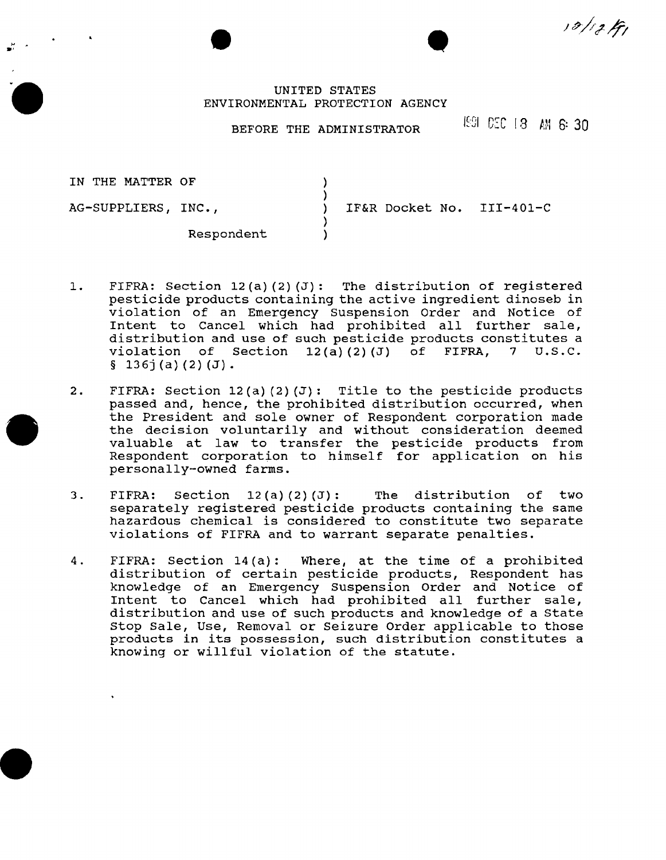$10/13H$ 

# • UNITED STATES ENVIRONMENTAL PROTECTION AGENCY

 $\frac{1}{2}$ .

# BEFORE THE ADMINISTRATOR F#9 C:C 18 AM 6: 30

| IN THE MATTER OF    |            |                           |  |
|---------------------|------------|---------------------------|--|
|                     |            |                           |  |
| AG-SUPPLIERS, INC., |            | IF&R Docket No. III-401-C |  |
|                     |            |                           |  |
|                     | Respondent |                           |  |

- 1. FIFRA: Section 12(a) (2) (J): The distribution of registered pesticide products containing the active ingredient dinoseb in violation of an Emergency Suspension Order and Notice of Intent to cancel which had prohibited all further sale, distribution and use of such pesticide products constitutes a<br>violation of Section  $12(a)(2)(J)$  of FIFRA, 7 U.S.C. Section  $12(a)(2)(J)$  of  $§ 136j(a)(2)(J).$
- 2. FIFRA: Section 12(a) (2) (J): Title to the pesticide products passed and, hence, the prohibited distribution occurred, when the President and sole owner of Respondent corporation made the decision voluntarily and without consideration deemed valuable at law to transfer the pesticide products from Respondent corporation to himself for application on his personally-owned farms.
- 3. FIFRA: Section 12(a) (2) (J): The distribution of two separately registered pesticide products containing the same hazardous chemical is considered to constitute two separate violations of FIFRA and to warrant separate penalties.
- 4. FIFRA: Section 14(a): Where, at the time of a prohibited distribution of certain pesticide products, Respondent has knowledge of an Emergency Suspension Order and Notice of Intent to Cancel which had prohibited all further sale, distribution and use of such products and knowledge of a State Stop Sale, Use, Removal or Seizure Order applicable to those products in its possession, such distribution constitutes a knowing or willful violation of the statute.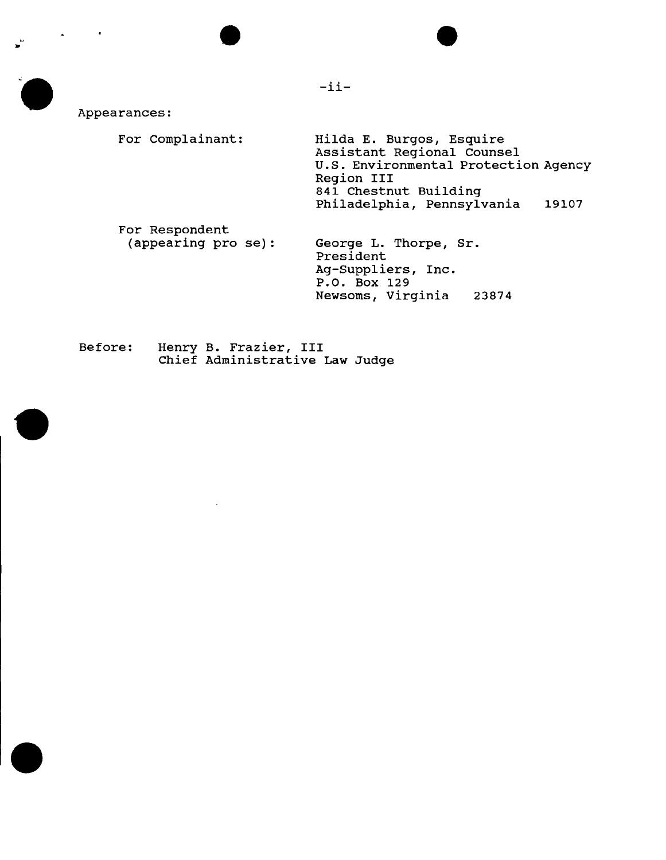Appearances: For Complainant: For Respondent (appearing pro se): Hilda E. Burgos, Esquire Assistant Regional Counsel u.s. Environmental Protection Agency Region III 841 Chestnut Building Philadelphia, Pennsylvania 19107 George L. Thorpe, Sr. President Ag-Suppliers, Inc. P.O. Box 129 Newsoms, Virginia 23874

-ii-

Before: Henry B. Frazier, III Chief Administrative Law Judge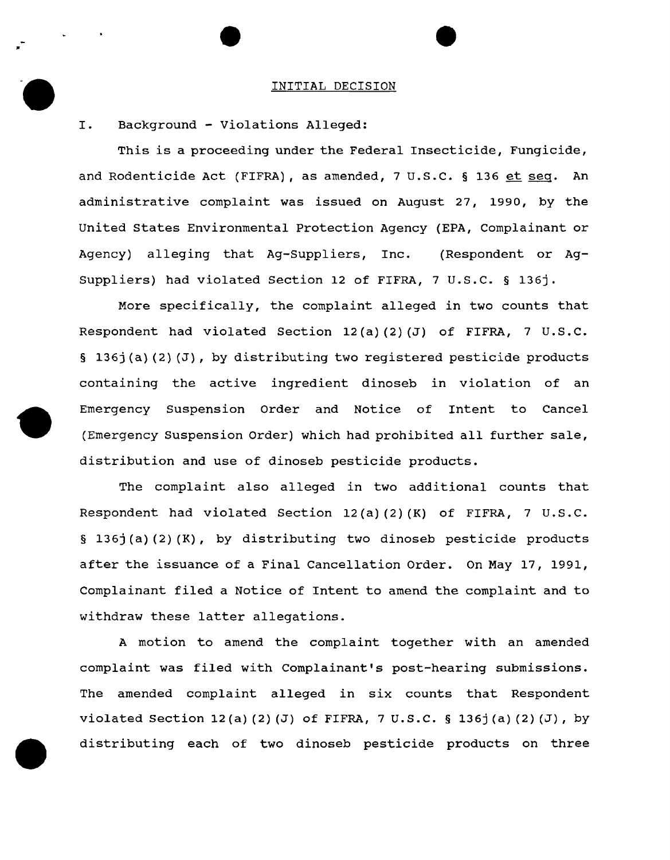#### INITIAL DECISION

## I. Background - Violations Alleged:

,.

This is a proceeding under the Federal Insecticide, Fungicide, and Rodenticide Act (FIFRA), as amended, 7 U.S.C. § 136 et seq. An administrative complaint was issued on August 27, 1990, by the United States Environmental Protection Agency (EPA, Complainant or Agency) alleging that Ag-Suppliers, Inc. (Respondent or Ag-Suppliers) had violated Section 12 of FIFRA, 7 U.S.C. § 136j.

More specifically, the complaint alleged in two counts that Respondent had violated Section 12(a) (2) (J) of FIFRA, 7 U.S.C. § 136j(a) (2) (J), by distributing two registered pesticide products containing the active ingredient dinoseb in violation of an Emergency Suspension Order and Notice of Intent to Cancel (Emergency Suspension Order) which had prohibited all further sale, distribution and use of dinoseb pesticide products.

The complaint also alleged in two additional counts that Respondent had violated Section 12(a) (2) (K) of FIFRA, 7 u.s.c. § 136j (a) (2) (K), by distributing two dinoseb pesticide products after the issuance of a Final Cancellation Order. On May 17, 1991, Complainant filed a Notice of Intent to amend the complaint and to withdraw these latter allegations.

A motion to amend the complaint together with an amended complaint was filed with Complainant's post-hearing submissions. The amended complaint alleged in six counts that Respondent violated Section 12(a)(2)(J) of FIFRA, 7 U.S.C. § 136j(a)(2)(J), by distributing each of two dinoseb pesticide products on three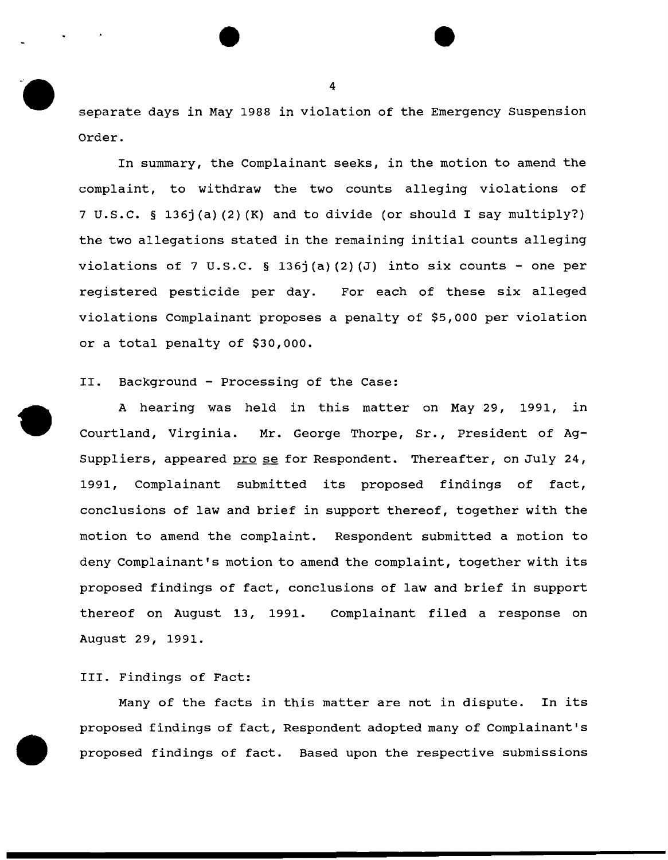separate days in May 1988 in violation of the Emergency Suspension Order.

In summary, the Complainant seeks, in the motion to amend the complaint, to withdraw the two counts alleging violations of 7 u.s.c. § 136j(a) (2) (K) and to divide (or should I say multiply?) the two allegations stated in the remaining initial counts alleging violations of 7 U.S.C. § 136j(a)(2)(J) into six counts - one per registered pesticide per day. For each of these six alleged violations Complainant proposes a penalty of \$5,000 per violation or a total penalty of \$30,000.

II. Background - Processing of the Case:

A hearing was held in this matter on May 29, 1991, in Courtland, Virginia. Mr. George Thorpe, Sr., President of Ag-Suppliers, appeared prose for Respondent. Thereafter, on July 24, 1991, Complainant submitted its proposed findings of fact, conclusions of law and brief in support thereof, together with the motion to amend the complaint. Respondent submitted a motion to deny Complainant's motion to amend the complaint, together with its proposed findings of fact, conclusions of law and brief in support thereof on August 13, 1991. Complainant filed a response on August 29, 1991.

III. Findings of Fact:

Many of the facts in this matter are not in dispute. In its proposed findings of fact, Respondent adopted many of Complainant's proposed findings of fact. Based upon the respective submissions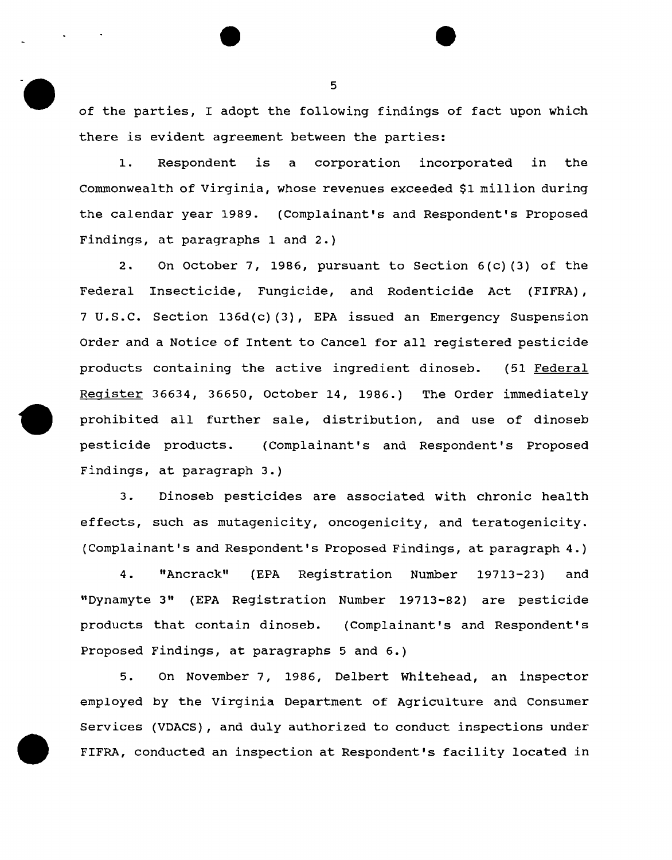of the parties, I adopt the following findings of fact upon which there is evident agreement between the parties:

1. Respondent is a corporation incorporated in the Commonwealth of Virginia, whose revenues exceeded \$1 million during the calendar year 1989. (Complainant's and Respondent's Proposed Findings, at paragraphs 1 and 2.)

2. On October 7, 1986, pursuant to Section 6(c) (3) of the Federal Insecticide, Fungicide, and Rodenticide Act (FIFRA), 7 u.s.c. Section 136d(c) (3), EPA issued an Emergency Suspension Order and a Notice of Intent to Cancel for all registered pesticide products containing the active ingredient dinoseb. (51 Federal Register 36634, 36650, October 14, 1986.) The Order immediately prohibited all further sale, distribution, and use of dinoseb pesticide products. (Complainant's and Respondent's Proposed Findings, at paragraph 3.)

3. Dinoseb pesticides are associated with chronic health effects, such as mutagenicity, oncogenicity, and teratogenicity. (Complainant's and Respondent's Proposed Findings, at paragraph 4.)

4. "Ancrack" (EPA Registration Number 19713-23) and "Dynamyte 3" (EPA Registration Number 19713-82) are pesticide products that contain dinoseb. (Complainant's and Respondent's Proposed Findings, at paragraphs 5 and 6.)

5. On November 7, 1986, Delbert Whitehead, an inspector employed by the Virginia Department of Agriculture and Consumer Services (VDACS), and duly authorized to conduct inspections under FIFRA, conducted an inspection at Respondent's facility located in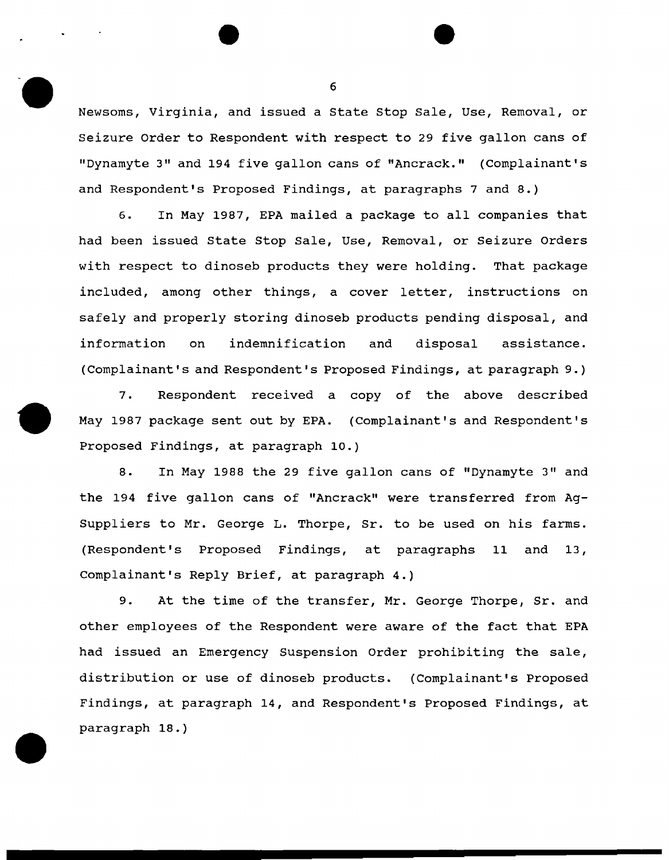Newsoms, Virginia, and issued a State Stop Sale, Use, Removal, or Seizure Order to Respondent with respect to 29 five gallon cans of "Dynamyte 3" and 194 five gallon cans of "Ancrack." (Complainant's and Respondent's Proposed Findings, at paragraphs 7 and 8.)

6. In May 1987, EPA mailed a package to all companies that had been issued State Stop Sale, Use, Removal, or Seizure Orders with respect to dinoseb products they were holding. That package included, among other things, a cover letter, instructions on safely and properly storing dinoseb products pending disposal, and information on indemnification and disposal assistance. (Complainant's and Respondent's Proposed Findings, at paragraph 9.)

7. Respondent received a copy of the above described May 1987 package sent out by EPA. (Complainant's and Respondent's Proposed Findings, at paragraph 10.)

8. In May 1988 the 29 five gallon cans of "Dynamyte 3" and the 194 five gallon cans of "Ancrack" were transferred from Ag-Suppliers to Mr. George L. Thorpe, Sr. to be used on his farms. (Respondent's Proposed Findings, at paragraphs 11 and 13, Complainant's Reply Brief, at paragraph 4.)

9. At the time of the transfer, Mr. George Thorpe, Sr. and other employees of the Respondent were aware of the fact that EPA had issued an Emergency Suspension Order prohibiting the sale, distribution or use of dinoseb products. (Complainant's Proposed Findings, at paragraph 14, and Respondent's Proposed Findings, at paragraph 18. )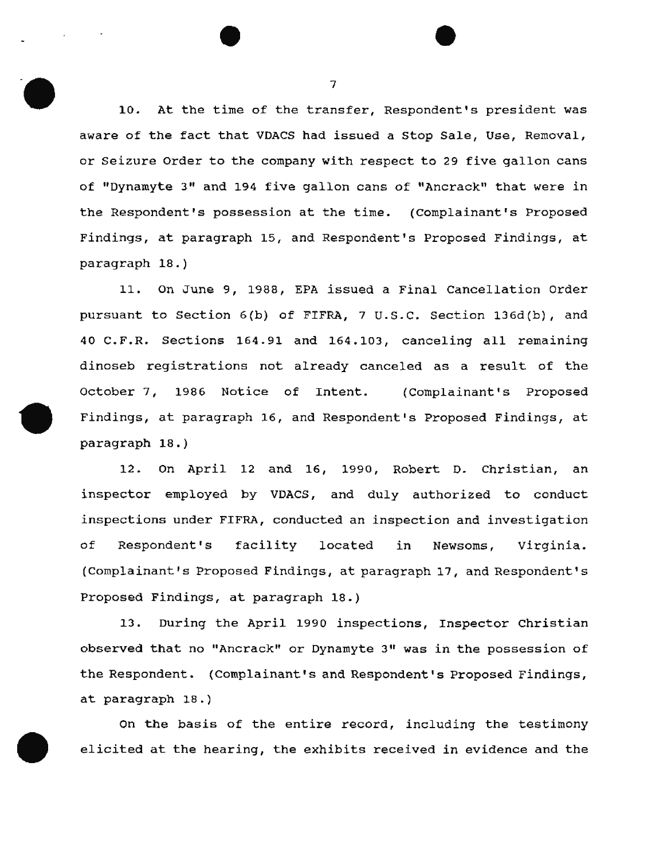10. At the time of the transfer, Respondent's president was aware of the fact that VDACS had issued a stop Sale, Use, Removal, or Seizure Order to the company with respect to 29 five gallon cans of "Dynamyte 3" and 194 five gallon cans of "Ancrack" that were in the Respondent's possession at the time. (Complainant's Proposed Findings, at paragraph 15, and Respondent's Proposed Findings, at paragraph 18. )

11. On June 9, 1988, EPA issued a Final Cancellation Order pursuant to Section 6(b) of FIFRA, 7 u.s.c. Section 136d(b), and 40 C.F.R. Sections 164.91 and 164.103, canceling all remaining dinoseb registrations not already canceled as a result of the October 7, 1986 Notice of Intent. (Complainant's Proposed Findings, at paragraph 16, and Respondent's Proposed Findings, at paragraph 18.)

12. On April 12 and 16, 1990, Robert D. Christian, an inspector employed by VDACS, and duly authorized to conduct inspections under FIFRA, conducted an inspection and investigation of Respondent's facility located in Newsoms, Virginia. (Complainant's Proposed Findings, at paragraph 17, and Respondent's Proposed Findings, at paragraph 18.)

13. During the April 1990 inspections, Inspector Christian observed that no "Ancrack" or Dynamyte 3" was in the possession of the Respondent. (Complainant's and Respondent's Proposed Findings, at paragraph 18.)

On the basis of the entire record, including the testimony elicited at the hearing, the exhibits received in evidence and the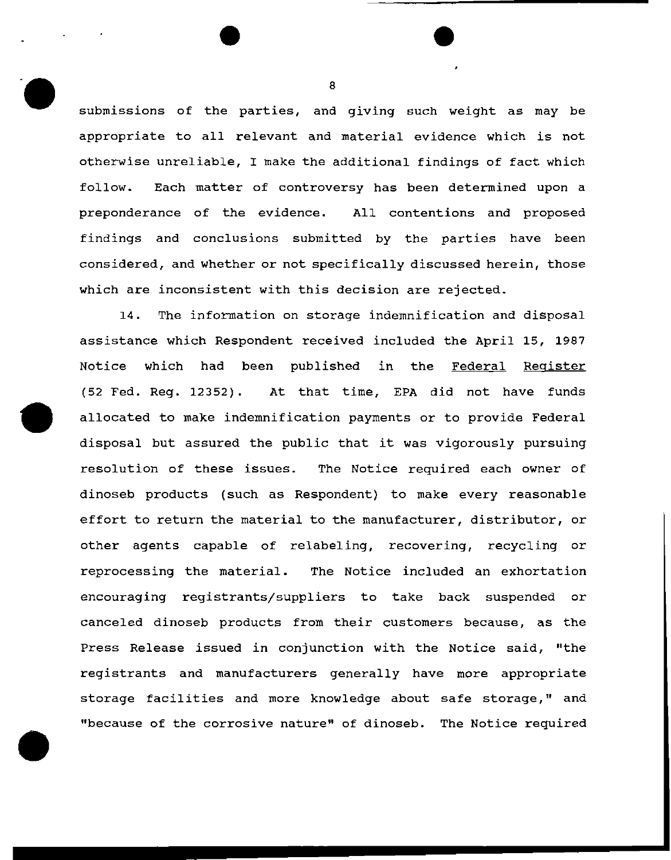submissions of the parties, and giving such weight as may be appropriate to all relevant and material evidence which is not otherwise unreliable, I make the additional findings of fact which follow. Each matter of controversy has been determined upon a preponderance of the evidence. All contentions and proposed findings and conclusions submitted by the parties have been considered, and whether or not specifically discussed herein, those which are inconsistent with this decision are rejected.

14. The information on storage indemnification and disposal assistance which Respondent received included the April 15, 1987 Notice which had been published *in* the Federal Register (52 Fed. Reg. 12352). At that time, EPA did not have funds allocated to make indemnification payments or to provide Federal disposal but assured the public that it was vigorously pursuing resolution of these issues. The Notice required each owner of dinoseb products (such as Respondent) to make every reasonable effort to return the material to the manufacturer, distributor, or other agents capable of relabeling, recovering, recycling or reprocessing the material. The Notice included an exhortation encouraging registrants/suppliers to take back suspended or canceled dinoseb products from their customers because, as the Press Release issued in conjunction with the Notice said, "the registrants and manufacturers generally have more appropriate storage facilities and more knowledge about safe storage," and "because of the corrosive nature" of dinoseb. The Notice required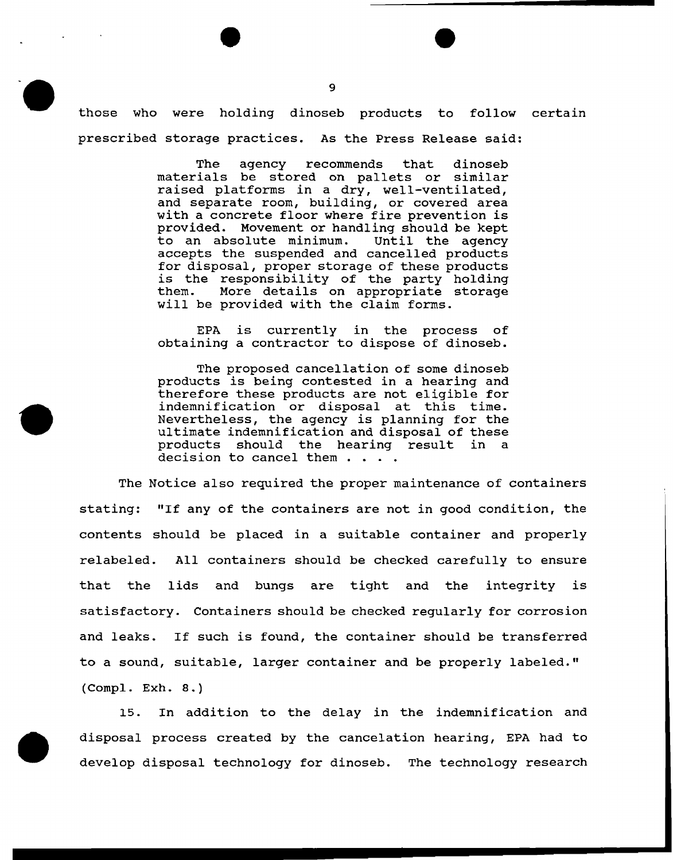those who were holding dinoseb products to follow certain prescribed storage practices. As the Press Release said:

> The agency recommends that dinoseb materials be stored on pallets or similar raised platforms in a dry, well-ventilated, and separate room, building, or covered area with a concrete floor where fire prevention is provided. Movement or handling should be kept<br>to an absolute minimum. Until the agency to an absolute minimum. accepts the suspended and cancelled products for disposal, proper storage of these products is the responsibility of the party holding<br>them. More details on appropriate storage More details on appropriate storage will be provided with the claim forms.

> EPA is currently in the process of obtaining a contractor to dispose of dinoseb.

> The proposed cancellation of some dinoseb products is being contested in a hearing and therefore these products are not eligible for indemnification or disposal at this time. Nevertheless, the agency is planning for the ultimate indemnification and disposal of these products should the hearing result in a decision to cancel them . .

The Notice also required the proper maintenance of containers stating: "If any of the containers are not in good condition, the contents should be placed in a suitable container and properly relabeled. All containers should be checked carefully to ensure that the lids and bungs are tight and the integrity is satisfactory. Containers should be checked regularly for corrosion and leaks. If such is found, the container should be transferred to a sound, suitable, larger container and be properly labeled." (Compl. Exh. 8.)

15. In addition to the delay in the indemnification and disposal process created by the cancelation hearing, EPA had to develop disposal technology for dinoseb. The technology research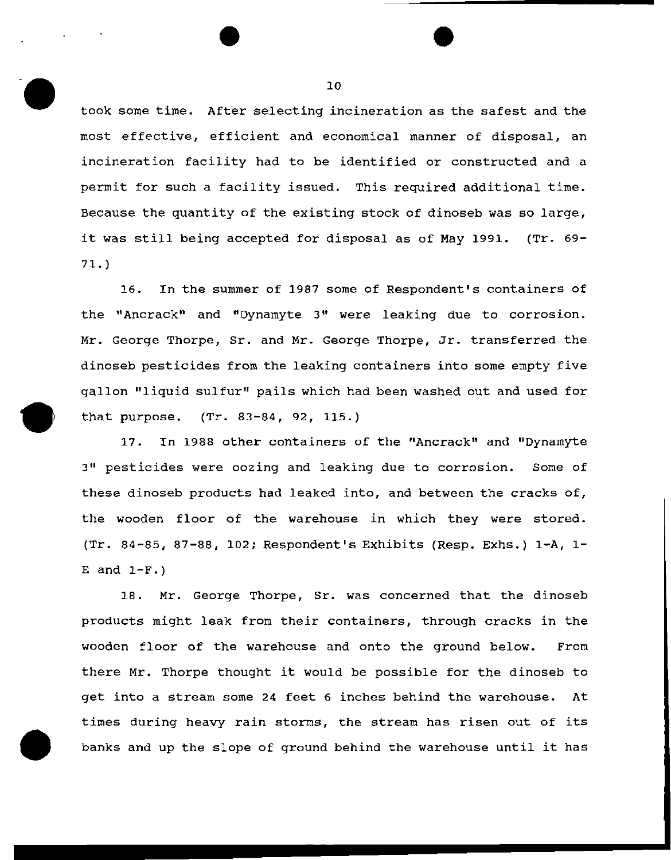took some time. After selecting incineration as the safest and the most effective, efficient and economical manner of disposal, an incineration facility had to be identified or constructed and a permit for such a facility issued. This required additional time. Because the quantity of the existing stock of dinoseb was so large, it was still being accepted for disposal as of May 1991. (Tr. 69- 71.)

16. In the summer of 1987 some of Respondent's containers of the "Ancrack" and "Dynamyte 3" were leaking due to corrosion. Mr. George Thorpe, Sr. and Mr. George Thorpe, Jr. transferred the dinoseb pesticides from the leaking containers into some empty five gallon 11 liquid sulfur" pails which had been washed out and used for that purpose. (Tr. 83-84, 92, 115.)

17. In 1988 other containers of the "Ancrack" and "Dynamyte 311 pesticides were oozing and leaking due to corrosion. Some of these dinoseb products had leaked into, and between the cracks of, the wooden floor of the warehouse in which they were stored. (Tr. B4-B5, 87-88, 102; Respondent's Exhibits (Resp. Exhs.) 1-A, 1- E and  $1-F.$ )

18. Mr. George Thorpe, Sr. was concerned that the dinoseb products might leak from their containers, through cracks in the wooden floor of the warehouse and onto the ground below. From there Mr. Thorpe thought it would be possible for the dinoseb to get into a stream some 24 feet 6 inches behind the warehouse. At times during heavy rain storms, the stream has risen out of its banks and up the slope of ground behind the warehouse until it has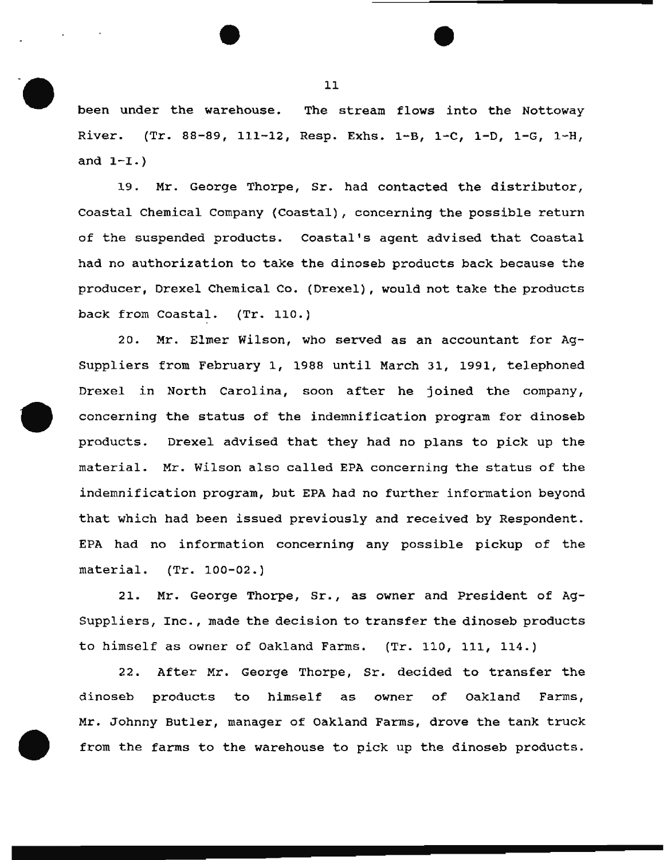been under the warehouse. The stream flows into the Nottoway River. (Tr. 88-89, 111-12, Resp. Exhs. 1-B, 1-C, 1-D, 1-G, 1-H, and  $1-L$ .)

19. Mr. George Thorpe, Sr. had contacted the distributor, Coastal Chemical Company (Coastal) , concerning the possible return of the suspended products. Coastal's agent advised that Coastal had no authorization to take the dinoseb products back because the producer, Drexel Chemical Co. (Drexel), would not take the products back from Coastal. (Tr. 110.)

20. Mr. Elmer Wilson, who served as an accountant for Ag-Suppliers from February 1, 1988 until March 31, 1991, telephoned Drexel in North Carolina, soon after he joined the company, concerning the status of the indemnification program for dinoseb products. Drexel advised that they had no plans to pick up the material. Mr. Wilson also called EPA concerning the status of the indemnification program, but EPA had no further information beyond that which had been issued previously and received by Respondent. EPA had no information concerning any possible pickup of the material. (Tr. 100-02.)

21. Mr. George Thorpe, Sr., as owner and President of Ag-Suppliers, Inc., made the decision to transfer the dinoseb products to himself as owner of Oakland Farms. (Tr. 110, 111, 114.)

22. After Mr. George Thorpe, Sr. decided to transfer the dinoseb products to himself as owner of Oakland Farms, Mr. Johnny Butler, manager of Oakland Farms, drove the tank truck from the farms to the warehouse to pick up the dinoseb products.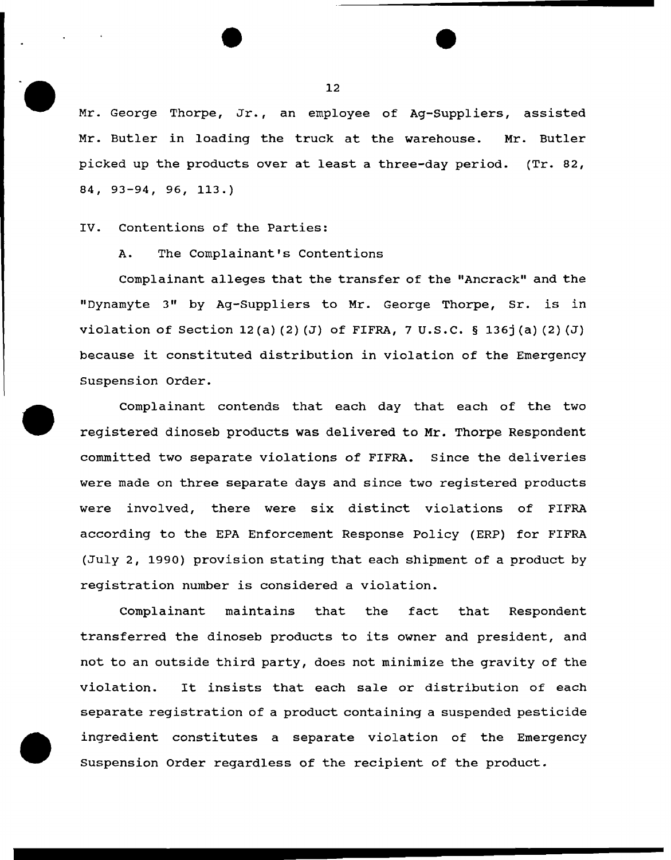Mr. George Thorpe, Jr., an employee of Ag-Suppliers, assisted Mr. Butler in loading the truck at the warehouse. Mr. Butler picked up the products over at least a three-day period. (Tr. 82, 84, 93-94, 96, 113.)

# IV. Contentions of the Parties:

## A. The Complainant's Contentions

Complainant alleges that the transfer of the "Ancrack" and the "Dynamyte 3" by Ag-Suppliers to Mr. George Thorpe, Sr. is in violation of Section 12(a)(2)(J) of FIFRA, 7 U.S.C. § 136 $\mathfrak{f}(a)$ (2)(J) because it constituted distribution in violation of the Emergency Suspension Order.

complainant contends that each day that each of the two registered dinoseb products was delivered to Mr. Thorpe Respondent committed two separate violations of FIFRA. Since the deliveries were made on three separate days and since two registered products were involved, there were six distinct violations of FIFRA according to the EPA Enforcement Response Policy (ERP) for FIFRA (July 2, 1990) provision stating that each shipment of a product by registration number is considered a violation.

Complainant maintains that the fact that Respondent transferred the dinoseb products to its owner and president, and not to an outside third party, does not minimize the gravity of the violation. It insists that each sale or distribution of each separate registration of a product containing a suspended pesticide ingredient constitutes a separate violation of the Emergency Suspension Order regardless of the recipient of the product.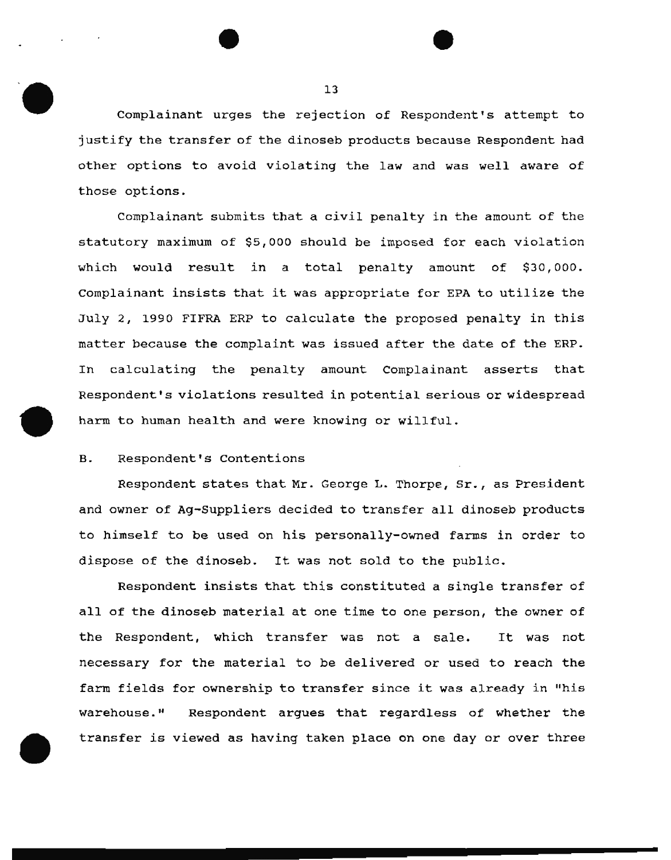Complainant urges the rejection of Respondent's attempt to justify the transfer of the dinoseb products because Respondent had other options to avoid violating the law and was well aware of those options.

Complainant submits that a civil penalty in the amount of the statutory maximum of \$5,000 should be imposed for each violation which would result in a total penalty amount of \$30,000. complainant insists that it was appropriate for EPA to utilize the July 2, 1990 FIFRA ERP to calculate the proposed penalty in this matter because the complaint was issued after the date of the ERP. In calculating the penalty amount Complainant asserts that Respondent's violations resulted in potential serious or widespread harm to human health and were knowing or willful.

# B. Respondent's Contentions

Respondent states that Mr. George L. Thorpe, Sr., as President and owner of Ag-Suppliers decided to transfer all dinoseb products to himself to be used on his personally-owned farms *in* order to dispose of the dinoseb. It was not sold to the public.

Respondent insists that this constituted a single transfer of all of the dinoseb material at one time to one person, the owner of the Respondent, which transfer was not a sale. It was not necessary for the material to be delivered or used to reach the farm fields for ownership to transfer since it was already in "his warehouse." Respondent argues that regardless of whether the transfer is viewed as having taken place on one day or over three

............................. -----------------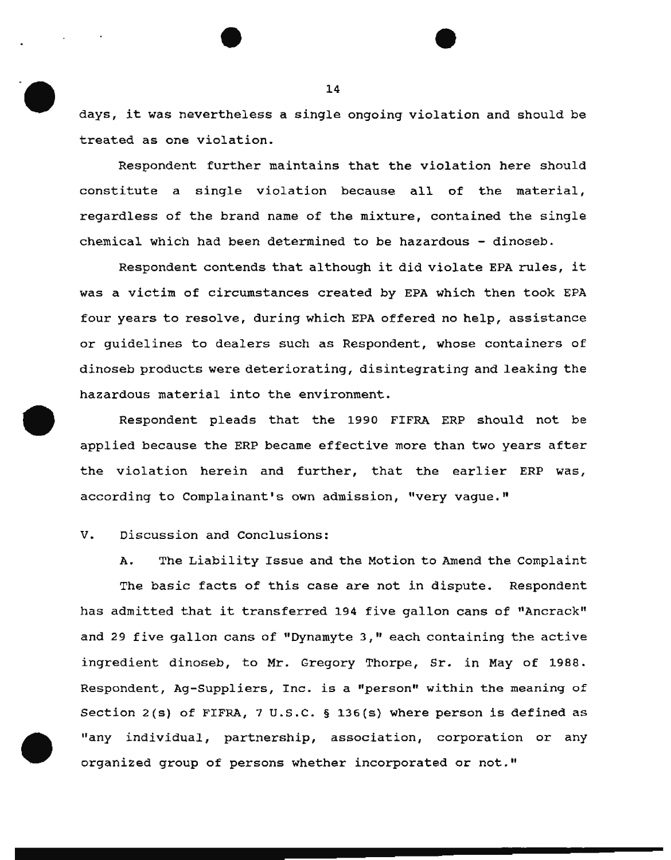days, it was nevertheless a single ongoing violation and should be treated as one violation.

Respondent further maintains that the violation here should constitute a single violation because all of the material, regardless of the brand name of the mixture, contained the single chemical which had been determined to be hazardous - dinoseb.

Respondent contends that although it did violate EPA rules, it was a victim of circumstances created by EPA which then took EPA four years to resolve, during which EPA offered no help, assistance or guidelines to dealers such as Respondent, whose containers of dinoseb products were deteriorating, disintegrating and leaking the hazardous material into the environment.

Respondent pleads that the 1990 FIFRA ERP should not be applied because the ERP became effective more than two years after the violation herein and further, that the earlier ERP was, according to Complainant's own admission, "very vague."

# V. Discussion and Conclusions:

A. The Liability Issue and the Motion to Amend the Complaint The basic facts of this case are not in dispute. Respondent has admitted that it transferred 194 five gallon cans of "Ancrack" and 29 five gallon cans of "Dynamyte 3," each containing the active ingredient dinoseb, to Mr. Gregory Thorpe, Sr. in May of 1988. Respondent, Ag-Suppliers, Inc. is a "person" within the meaning of Section 2(s) of FIFRA, 7 u.s.c. § 136(s) where person is defined as "any individual, partnership, association, corporation or any organized group of persons whether incorporated or not."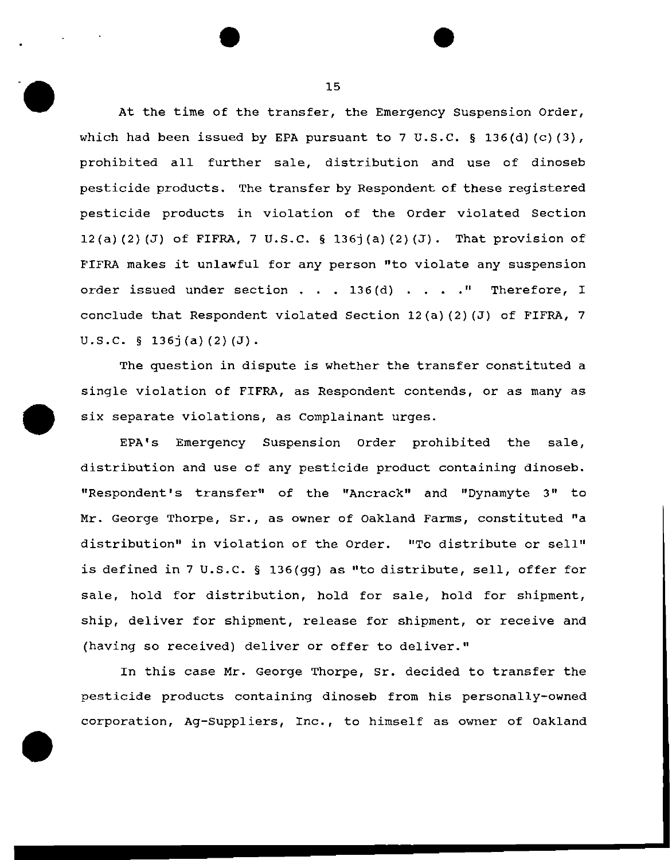At the time of the transfer, the Emergency suspension Order, which had been issued by EPA pursuant to 7 U.S.C.  $\S$  136(d)(c)(3), prohibited all further sale, distribution and use of dinoseb pesticide products. The transfer by Respondent of these registered pesticide products in violation of the Order violated Section 12(a) (2) (J) of FIFRA, 7 U.S.C. § 136j(a) (2) (J). That provision of FIFRA makes it unlawful for any person "to violate any suspension order issued under section  $\ldots$  136(d)  $\ldots$ . "Therefore, I conclude that Respondent violated Section 12(a)(2) (J) of FIFRA, <sup>7</sup>  $U.S.C. \S 136j(a)(2)(J).$ 

The question in dispute is whether the transfer constituted a single violation of FIFRA, as Respondent contends, or as many as *six* separate violations, as Complainant urges.

EPA's Emergency Suspension Order prohibited the sale, distribution and use of any pesticide product containing dinoseb. "Respondent's transfer" of the "Ancrack" and "Dynamyte 3" to Mr. George Thorpe, sr., as owner of Oakland Farms, constituted "a distribution" in violation of the Order. "To distribute or sell" is defined in 7 u.s.c. § 136(gg) as "to distribute, sell, offer for sale, hold for distribution, hold for sale, hold for shipment, ship, deliver for shipment, release for shipment, or receive and (having so received) deliver or offer to deliver."

In this case Mr. George Thorpe, Sr. decided to transfer the pesticide products containing dinoseb from his personally-owned corporation, Ag-suppliers, Inc., to himself as owner of Oakland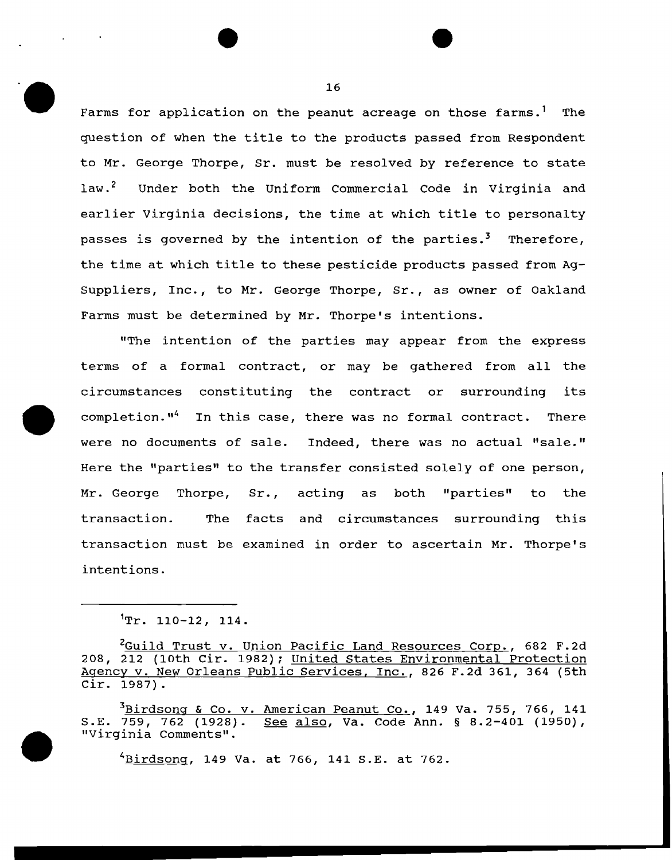Farms for application on the peanut acreage on those farms.<sup>1</sup> The question of when the title to the products passed from Respondent to Mr. George Thorpe, Sr. must be resolved by reference to state law.<sup>2</sup> Under both the Uniform Commercial Code in Virginia and earlier Virginia decisions, the time at which title to personalty passes is governed by the intention of the parties.<sup>3</sup> Therefore, the time at which title to these pesticide products passed from Ag-Suppliers, Inc., to Mr. George Thorpe, Sr., as owner of Oakland Farms must be determined by Mr. Thorpe's intentions.

"The intention of the parties may appear from the express terms of a formal contract, or may be gathered from all the circumstances constituting the contract or surrounding its completion."4 In this case, there was no formal contract. There were no documents of sale. Indeed, there was no actual "sale." Here the "parties" to the transfer consisted solely of one person, Mr. George Thorpe, Sr., acting as both "parties" to the transaction. The facts and circumstances surrounding this transaction must be examined in order to ascertain Mr. Thorpe's intentions.

 $\sim 10$ 

3<u>Birdsong & Co. v. American Peanut Co.</u>, 149 Va. 755, 766, 141<br>S.E. 759, 762 (1928). <u>See also</u>, Va. Code Ann. § 8.2-401 (1950), See also, Va. Code Ann. § 8.2-401 (1950), "Virginia Comments".

4Birdsong, 149 Va. at 766, 141 S.E. at 762.

 $1_T$ . 110-12, 114.

<sup>&</sup>lt;sup>2</sup>Guild Trust v. Union Pacific Land Resources Corp., 682 F.2d 208, 212 (lOth Cir. 1982); United States Environmental Protection Agency v. New Orleans Public Services, Inc., 826 F.2d 361, 364 (5th Cir. 1987).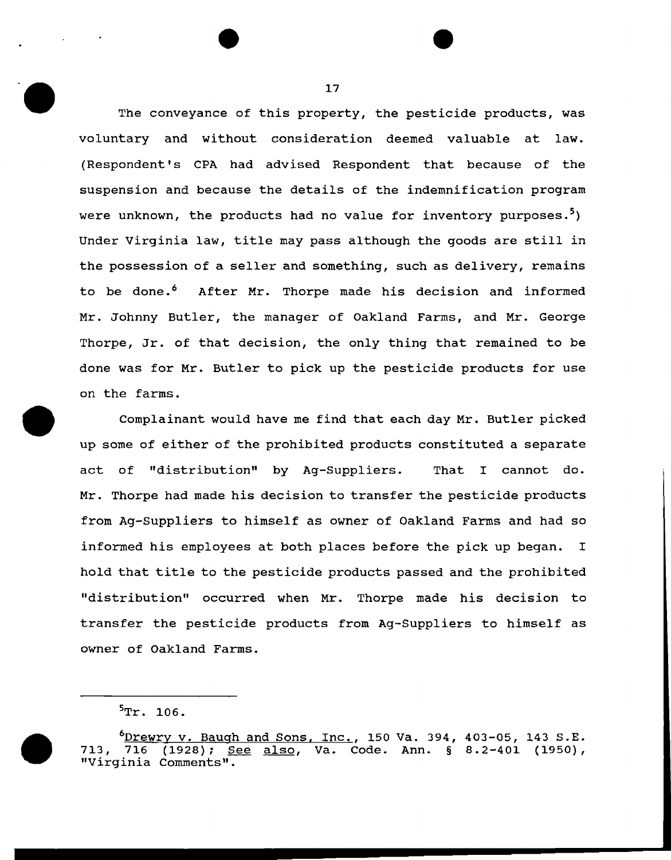The conveyance of this property, the pesticide products, was voluntary and without consideration deemed valuable at law. (Respondent's CPA had advised Respondent that because of the suspension and because the details of the indemnification program were unknown, the products had no value for inventory purposes.<sup>3</sup>) Under Virginia law, title may pass although the goods are still in the possession of a seller and something, such as delivery, remains to be done.<sup>6</sup> After Mr. Thorpe made his decision and informed Mr. Johnny Butler, the manager of Oakland Farms, and Mr. George Thorpe, Jr. of that decision, the only thing that remained to be done was for Mr. Butler to pick up the pesticide products for use on the farms.

Complainant would have me find that each day Mr. Butler picked up some of either of the prohibited products constituted a separate act of "distribution" by Ag-suppliers. That I cannot do. Mr. Thorpe had made his decision to transfer the pesticide products from Ag-Suppliers to himself as owner of Oakland Farms and had so informed his employees at both places before the pick up began. I hold that title to the pesticide products passed and the prohibited "distribution" occurred when Mr. Thorpe made his decision to transfer the pesticide products from Ag-Suppliers to himself as owner of Oakland Farms.



<sup>&</sup>lt;u>Drewry v. Baugh and Sons, Inc.</u>, 150 Va. 394, 403-05, 143 S.E. <sup>6</sup><br>713, 716 (1928); <u>See also</u>, Va. Code. Ann. § 8.2-401 (1950), (1928); See also, Va. Code. Ann. § 8.2-401 (1950), "Virginia Comments".

 $\rm ^5Tr.$  106.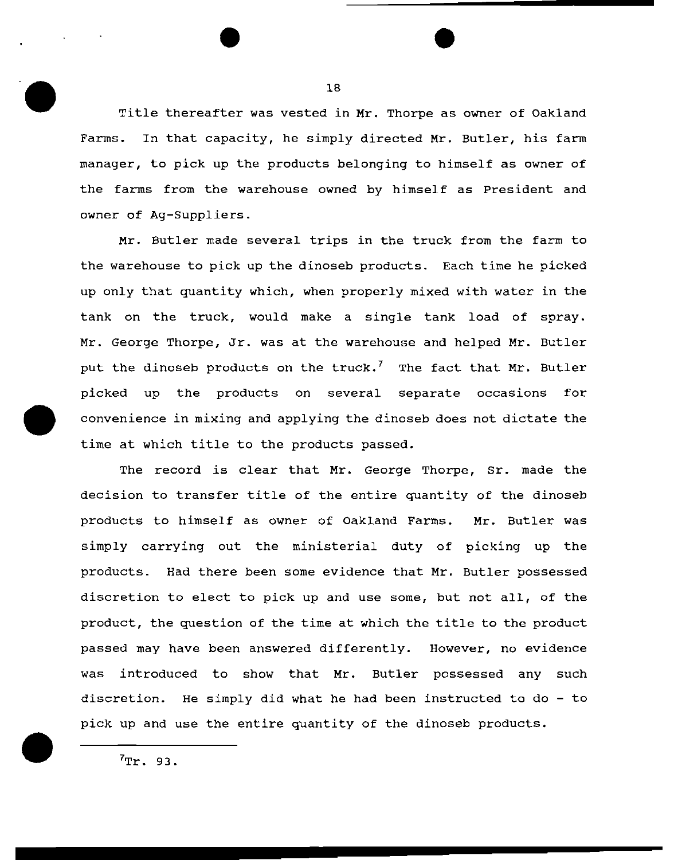Title thereafter was vested in Mr. Thorpe as owner of Oakland Farms. In that capacity, he simply directed Mr. Butler, his farm manager, to pick up the products belonging to himself as owner of the farms from the warehouse owned by himself as President and owner of Ag-Suppliers.

Mr. Butler made several trips in the truck from the farm to the warehouse to pick up the dinoseb products. Each time he picked up only that quantity which, when properly mixed with water in the tank on the truck, would make a single tank load of spray. Mr. George Thorpe, Jr. was at the warehouse and helped Mr. Butler put the dinoseb products on the truck.<sup>7</sup> The fact that Mr. Butler picked up the products on several separate occasions for convenience in mixing and applying the dinoseb does not dictate the time at which title to the products passed.

The record is clear that Mr. George Thorpe, Sr. made the decision to transfer title of the entire quantity of the dinoseb products to himself as owner of Oakland Farms. Mr. Butler was simply carrying out the ministerial duty of picking up the products. Had there been some evidence that Mr. Butler possessed discretion to elect to pick up and use some, but not all, of the product, the question of the time at which the title to the product passed may have been answered differently. However, no evidence was introduced to show that Mr. Butler possessed any such discretion. He simply did what he had been instructed to do - to pick up and use the entire quantity of the dinoseb products.

18

 $7\text{Tr}$ . 93.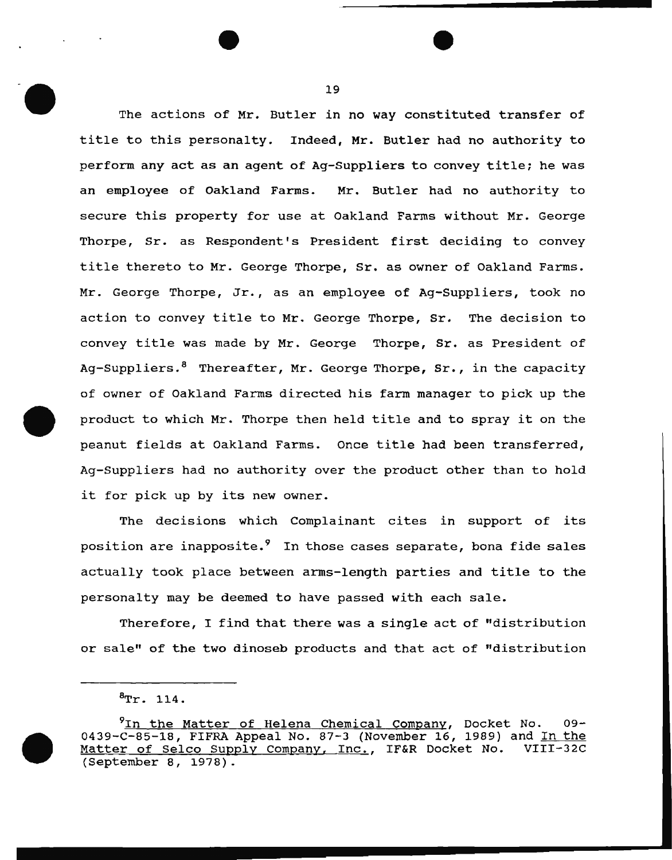The actions of Mr. Butler in no way constituted transfer of title to this personalty. Indeed, Mr. Butler had no authority to perform any act as an agent of Ag-suppliers to convey title; he was an employee of Oakland Farms. Mr. Butler had no authority to secure this property for use at Oakland Farms without Mr. George Thorpe, Sr. as Respondent's President first deciding to convey title thereto to Mr. George Thorpe, Sr. as owner of Oakland Farms. Mr. George Thorpe, Jr., as an employee of Ag-Suppliers, took no action to convey title to Mr. George Thorpe, Sr. The decision to convey title was made by Mr. George Thorpe, Sr. as President of Ag-Suppliers.<sup>8</sup> Thereafter, Mr. George Thorpe, Sr., in the capacity of owner of Oakland Farms directed his farm manager to pick up the product to which Mr. Thorpe then held title and to spray it on the peanut fields at Oakland Farms. Once title had been transferred, Ag-Suppliers had no authority over the product other than to hold it for pick up by its new owner.

The decisions which Complainant cites in support of its position are inapposite.<sup>9</sup> In those cases separate, bona fide sales actually took place between arms-length parties and title to the personalty may be deemed to have passed with each sale.

Therefore, I find that there was a single act of "distribution or sale" of the two dinoseb products and that act of "distribution

 ${}^{8}$ Tr. 114.

<sup>&</sup>lt;sup>9</sup>In the Matter of Helena Chemical Company, Docket No. 09-0439-C-85-18, FIFRA Appeal No. 87-3 (November 16, 1989) and In the Matter of Selco Supply Company, Inc., IF&R Docket No. VIII-32C Matter of Selco Supply Company, Inc., IF&R Docket No. (September 8, 1978).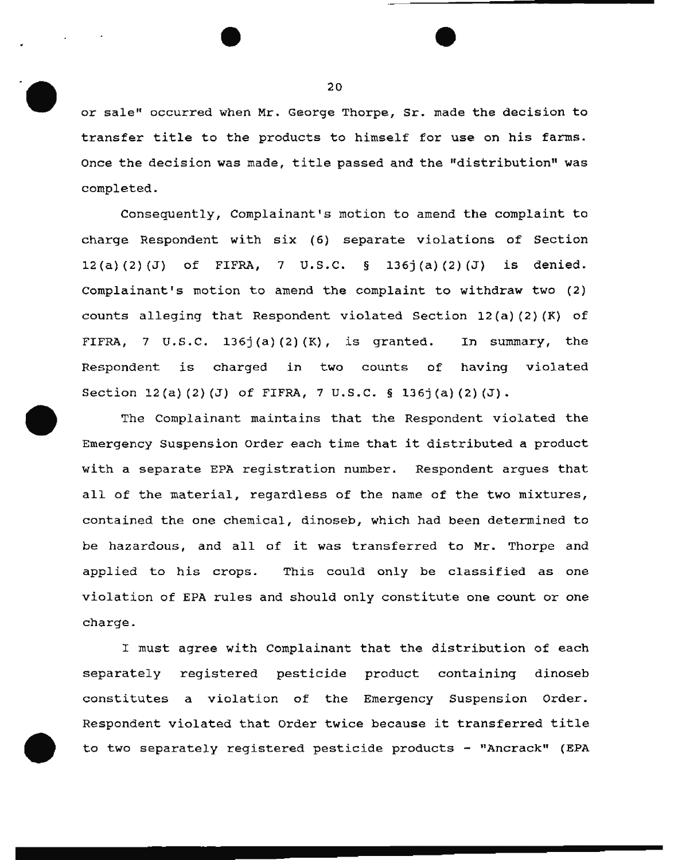or sale" occurred when Mr. George Thorpe, Sr. made the decision to transfer title to the products to himself for use on his farms. Once the decision was made, title passed and the "distribution" was completed.

Consequently, Complainant's motion to amend the complaint to charge Respondent with six (6) separate violations of Section  $12(a)(2)(J)$  of FIFRA, 7 U.S.C. § 136j(a)(2)(J) is denied. Complainant's motion to amend the complaint to withdraw two (2) counts alleging that Respondent violated Section  $12(a)$  (2) (K) of FIFRA, 7 U.S.C. 136j(a)(2)(K), is granted. In summary, the Respondent is charged in two counts of having violated Section  $12(a)(3)(J)$  of FIFRA, 7 U.S.C. § 136j(a)(2)(J).

The Complainant maintains that the Respondent violated the Emergency Suspension Order each time that it distributed a product with a separate EPA registration number. Respondent argues that all of the material, regardless of the name of the two mixtures, contained the one chemical, dinoseb, which had been determined to be hazardous, and all of it was transferred to Mr. Thorpe and applied to his crops. This could only be classified as one violation of EPA rules and should only constitute one count or one charge.

I must agree with Complainant that the distribution of each separately registered pesticide product containing dinoseb constitutes a violation of the Emergency Suspension Order. Respondent violated that order twice because it transferred title to two separately registered pesticide products - '1Ancrack" (EPA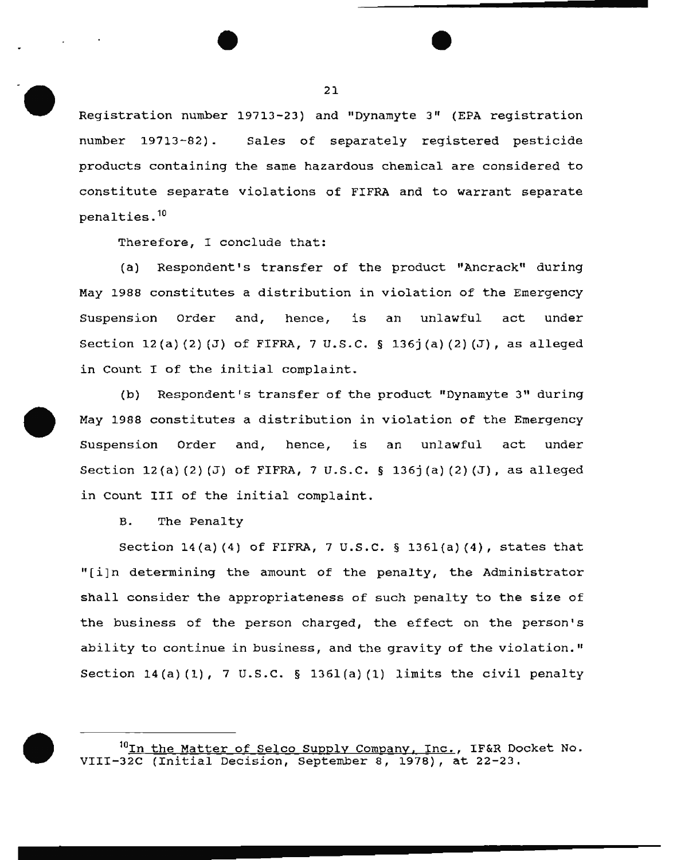Registration number 19713-23) and "Dynamyte 3" (EPA registration number 19713-82). Sales of separately registered pesticide products containing the same hazardous chemical are considered to constitute separate violations of FIFRA and to warrant separate  $penalties.$ <sup>10</sup>

Therefore, I conclude that:

(a) Respondent's transfer of the product "Ancrack" during May 1988 constitutes a distribution in violation of the Emergency Suspension order and, hence, is an unlawful act under Section  $12(a)(2)(J)$  of FIFRA, 7 U.S.C. § 136j(a)(2)(J), as alleged in Count I of the initial complaint.

(b) Respondent's transfer of the product "Dynamyte 3" during May 1988 constitutes a distribution in violation of the Emergency Suspension Order and, hence, is an unlawful act under Section  $12(a)(2)(J)$  of FIFRA, 7 U.S.C. § 136j(a)(2)(J), as alleged in count III of the initial complaint.

B. The Penalty

Section 14(a) (4) of FIFRA, 7 u.s.c. § 136l(a) (4), states that "[i]n determining the amount of the penalty, the Administrator shall consider the appropriateness of such penalty to the size of the business of the person charged, the effect on the person's ability to continue in business, and the gravity of the violation." Section  $14(a)(1)$ , 7 U.S.C. § 1361(a)(1) limits the civil penalty

<sup>10</sup>In the Matter of Selco Supply Company, Inc., IF&R Docket No. VIII-32C (Initial Decision, September 8, 1978), at 22-23.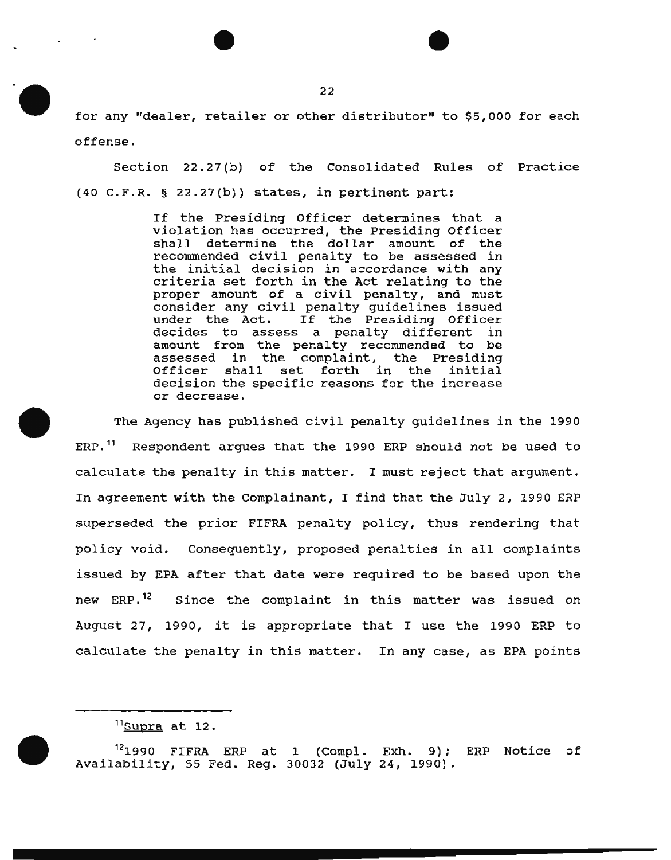for any "dealer, retailer or other distributor" to \$5,000 for each offense.

Section 22.27(b) of the Consolidated Rules of Practice (40 c.F.R. § 22.27(b)) states, in pertinent part:

> If the Presiding Officer determines that a violation has occurred, the Presiding Officer shall determine the dollar amount of the recommended civil penalty to be assessed in the initial decision in accordance with any criteria set forth in the Act relating to the proper amount of a civil penalty, and must consider any civil penalty guidelines issued under the Act. If the Presiding Officer decides to assess a penalty different in amount from the penalty recommended to be assessed in the complaint, the Presiding<br>Officer shall set forth in the initial set forth in the initial decision the specific reasons for the increase or decrease.

The Agency has published civil penalty guidelines in the 1990 ERP. 11 Respondent argues that the 1990 ERP should not be used to calculate the penalty in this matter. I must reject that argument. In agreement with the Complainant, I find that the July 2, 1990 ERP superseded the prior FIFRA penalty policy, thus rendering that policy void. Consequently, proposed penalties in all complaints issued by EPA after that date were required to be based upon the new ERP.<sup>12</sup> Since the complaint in this matter was issued on August 27, 1990, it is appropriate that I use the 1990 ERP to calculate the penalty in this matter. In any case, as EPA points

 $11$ Supra at 12.

 $12$ 1990 FIFRA ERP at 1 (Compl. Exh. 9); ERP Notice of Availability, 55 Fed. Reg. 30032 (July 24, 1990).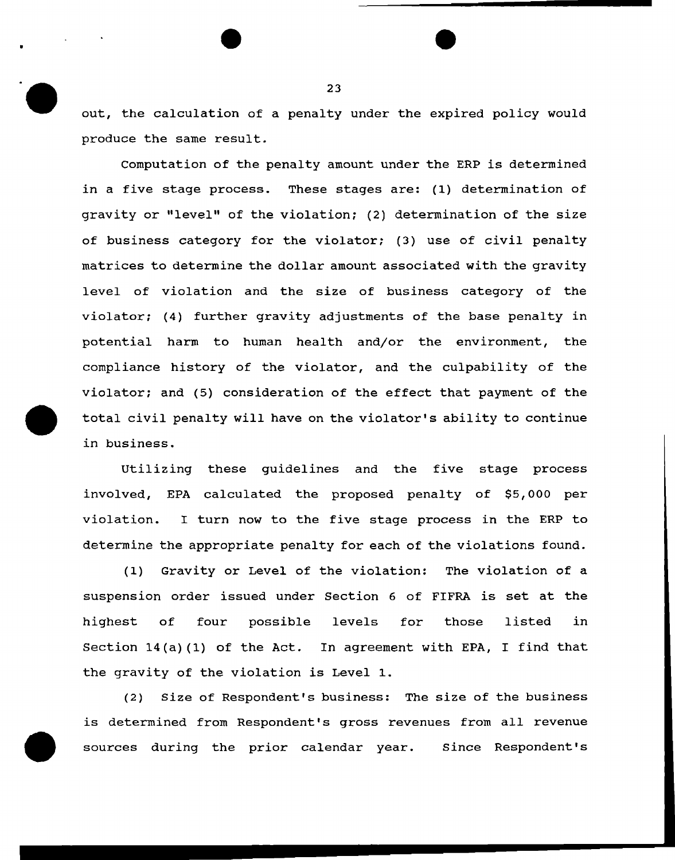out, the calculation of a penalty under the expired policy would produce the same result.

Computation of the penalty amount under the ERP is determined in a five stage process. These stages are: (1) determination of gravity or "level" of the violation; (2) determination of the size of business category for the violator; (3) use of civil penalty matrices to determine the dollar amount associated with the gravity level of violation and the size of business category of the violator; (4) further gravity adjustments of the base penalty in potential harm to human health and/or the environment, the compliance history of the violator, and the culpability of the violator; and (5) consideration of the effect that payment of the total civil penalty will have on the violator's ability to continue in business.

Utilizing these guidelines and the five stage process involved, EPA calculated the proposed penalty of \$5,000 per violation. I turn now to the five stage process in the ERP to determine the appropriate penalty for each of the violations found.

(1) Gravity or Level of the violation: The violation of a suspension order issued under Section 6 of FIFRA is set at the highest of four possible levels for those listed in Section 14(a) (1) of the Act. In agreement with EPA, I find that the gravity of the violation is Level 1.

(2) Size of Respondent's business: The size of the business is determined from Respondent's gross revenues from all revenue sources during the prior calendar year. since Respondent's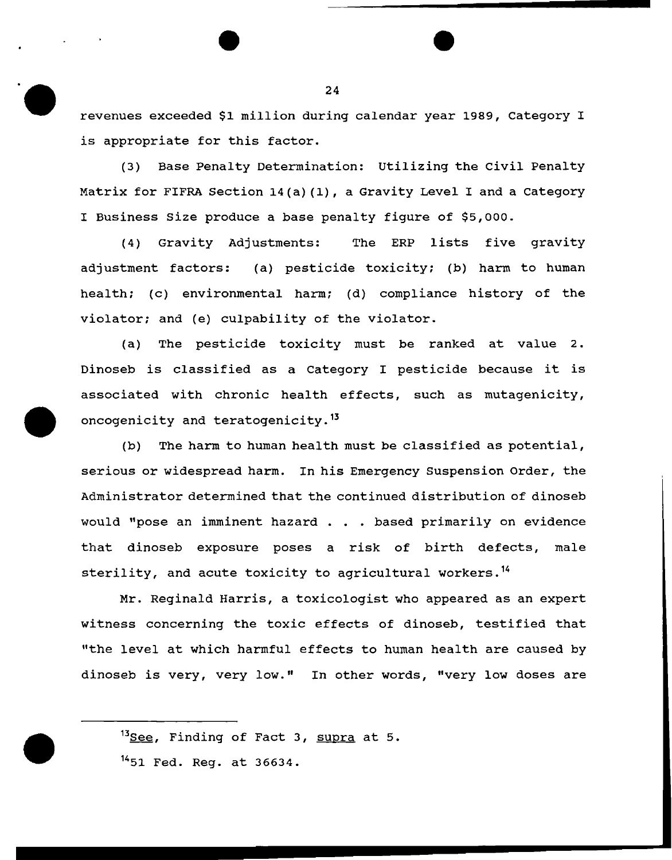revenues exceeded \$1 million during calendar year 1989, Category I is appropriate for this factor.

(3) Base Penalty Determination: Utilizing the Civil Penalty Matrix for FIFRA Section  $14(a)$  (1), a Gravity Level I and a Category I Business Size produce a base penalty figure of \$5,000.

(4) Gravity Adjustments: The ERP lists five gravity adjustment factors: (a) pesticide toxicity; (b) harm to human health; (c) environmental harm; (d) compliance history of the violator; and (e) culpability of the violator.

(a) The pesticide toxicity must be ranked at value 2. Dinoseb is classified as a Category I pesticide because it is associated with chronic health effects, such as mutagenicity, oncogenicity and teratogenicity.<sup>13</sup>

(b) The harm to human health must be classified as potential, serious or widespread harm. In his Emergency suspension Order, the Administrator determined that the continued distribution of dinoseb would "pose an imminent hazard . . . based primarily on evidence that dinoseb exposure poses a risk of birth defects, male sterility, and acute toxicity to agricultural workers.<sup>14</sup>

Mr. Reginald Harris, a toxicologist who appeared as an expert witness concerning the toxic effects of dinoseb, testified that "the level at which harmful effects to human health are caused by dinoseb is very, very low." In other words, "very low doses are



<sup>&</sup>lt;sup>14</sup>51 Fed. Reg. at 36634.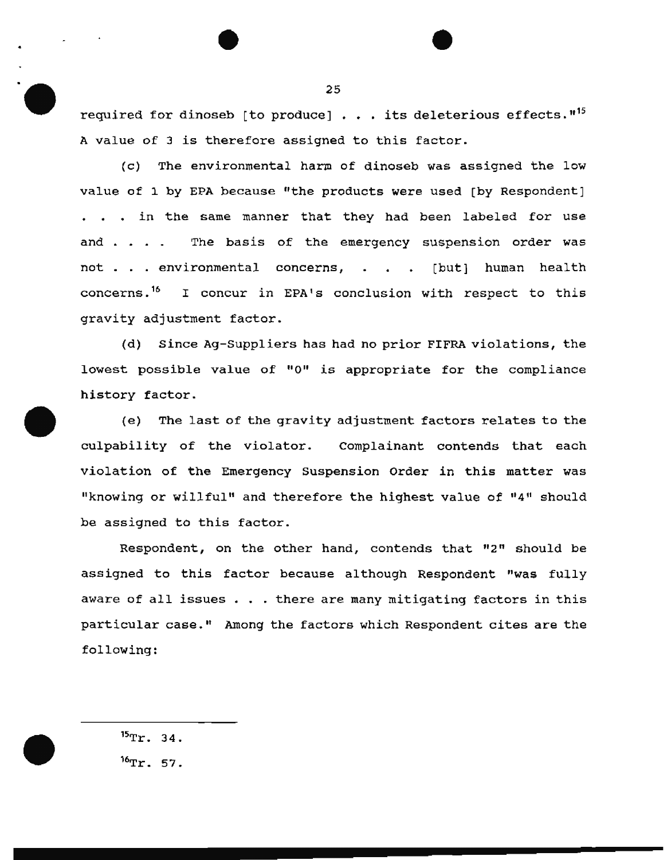required for dinoseb [to produce]  $\ldots$  its deleterious effects."<sup>15</sup> A value of 3 is therefore assigned to this factor.

(c) The environmental harm of dinoseb was assigned the low value of 1 by EPA because "the products were used [by Respondent] . . . in the same manner that they had been labeled for use and . . The basis of the emergency suspension order was not . . environmental concerns, . . . [but] human health concerns.<sup>16</sup> I concur in EPA's conclusion with respect to this gravity adjustment factor.

(d) Since Ag-Suppliers has had no prior FIFRA violations, the lowest possible value of "0" is appropriate for the compliance history factor.

(e) The last of the gravity adjustment factors relates to the culpability of the violator. Complainant contends that each violation of the Emergency Suspension Order in this matter was "knowing or willful" and therefore the highest value of "4" should be assigned to this factor.

Respondent, on the other hand, contends that  $"2"$  should be assigned to this factor because although Respondent "was fully aware of all issues . . . there are many mitigating factors in this particular case." Among the factors which Respondent cites are the following:

 $15Tr. 34.$  $^{16}$ Tr. 57.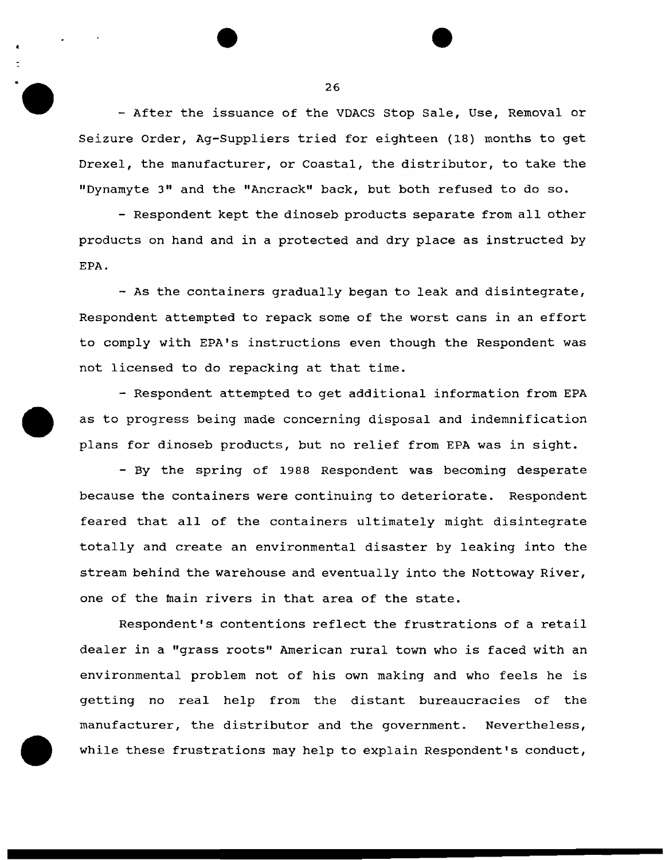- After the issuance of the VDACS Stop Sale, Use, Removal or Seizure Order, Ag-Suppliers tried for eighteen (18) months to get Drexel, the manufacturer, or Coastal, the distributor, to take the "Dynamyte 3" and the "Ancrack" back, but both refused to do so.

- Respondent kept the dinoseb products separate from all other products on hand and in a protected and dry place as instructed by EPA.

- As the containers gradually began to leak and disintegrate, Respondent attempted to repack some of the worst cans in an effort to comply with EPA's instructions even though the Respondent was not licensed to do repacking at that time.

- Respondent attempted to get additional information from EPA as to progress being made concerning disposal and indemnification plans for dinoseb products, but no relief from EPA was in sight.

- By the spring of 1988 Respondent was becoming desperate because the containers were continuing to deteriorate. Respondent feared that all of the containers ultimately might disintegrate totally and create an environmental disaster by leaking into the stream behind the warehouse and eventually into the Nottoway River, one of the main rivers in that area of the state.

Respondent's contentions reflect the frustrations of a retail dealer in a "grass roots" American rural town who is faced with an environmental problem not of his own making and who feels he is getting no real help from the distant bureaucracies of the manufacturer, the distributor and the government. Nevertheless, while these frustrations may help to explain Respondent's conduct,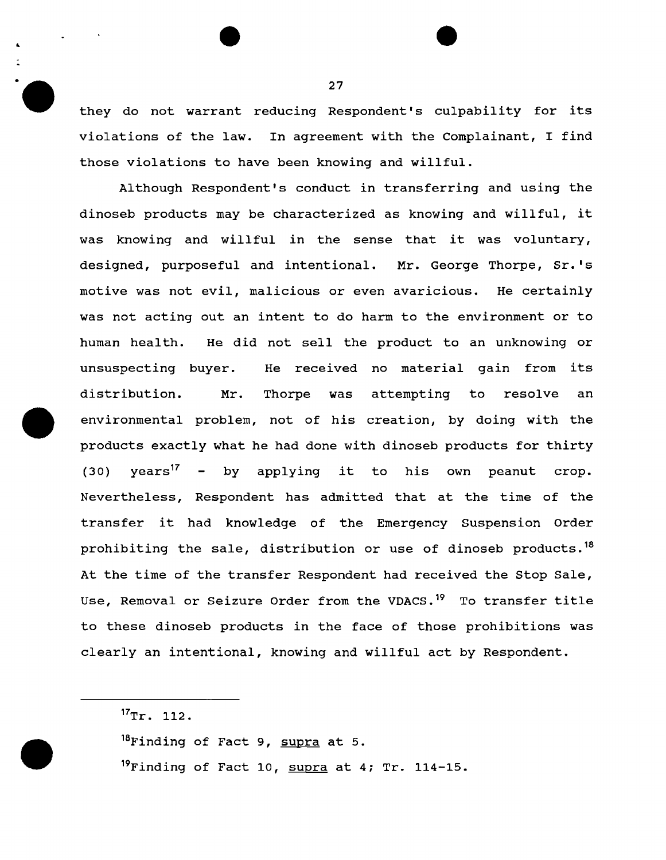they do not warrant reducing Respondent's culpability for its violations of the law. In agreement with the Complainant, I find those violations to have been knowing and willful.

Although Respondent's conduct in transferring and using the dinoseb products may be characterized as knowing and willful, it was knowing and willful in the sense that it was voluntary, designed, purposeful and intentional. Mr. George Thorpe, Sr.'s motive was not evil, malicious or even avaricious. He certainly was not acting out an intent to do harm to the environment or to human health. He did not sell the product to an unknowing or unsuspecting buyer. He received no material gain from its distribution. Mr. Thorpe was attempting to resolve an environmental problem, not of his creation, by doing with the products exactly what he had done with dinoseb products for thirty (30)  $years^{17}$  - by applying it to his own peanut crop. Nevertheless, Respondent has admitted that at the time of the transfer it had knowledge of the Emergency Suspension Order prohibiting the sale, distribution or use of dinoseb products.<sup>18</sup> At the time of the transfer Respondent had received the Stop Sale, Use, Removal or Seizure Order from the VDACS.<sup>19</sup> To transfer title to these dinoseb products in the face of those prohibitions was clearly an intentional, knowing and willful act by Respondent.

..

 $17Tr. 112.$ 

<sup>&</sup>lt;sup>18</sup>Finding of Fact 9, supra at 5.

 $19$ Finding of Fact 10, supra at 4; Tr. 114-15.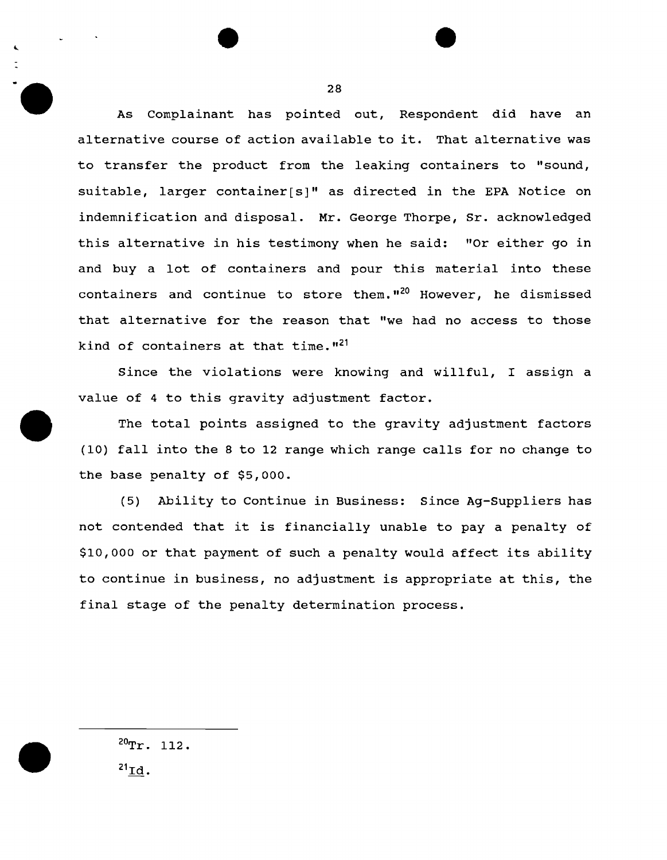As Complainant has pointed out, Respondent did have an alternative course of action available to it. That alternative was to transfer the product from the leaking containers to "sound, suitable, larger container[s]" as directed in the EPA Notice on indemnification and disposal. Mr. George Thorpe, Sr. acknowledged this alternative in his testimony when he said: "Or either go in and buy a lot of containers and pour this material into these containers and continue to store them."<sup>20</sup> However, he dismissed that alternative for the reason that "we had no access to those kind of containers at that time. $121$ 

Since the violations were knowing and willful, I assign a value of 4 to this gravity adjustment factor.

The total points assigned to the gravity adjustment factors (10) fall into the 8 to 12 range which range calls for no change to the base penalty of \$5,000.

(5) Ability to Continue in Business: Since Ag-Suppliers has not contended that it is financially unable to pay a penalty of \$10,000 or that payment of such a penalty would affect its ability to continue in business, no adjustment is appropriate at this, the final stage of the penalty determination process.

 $20$ Tr. 112.